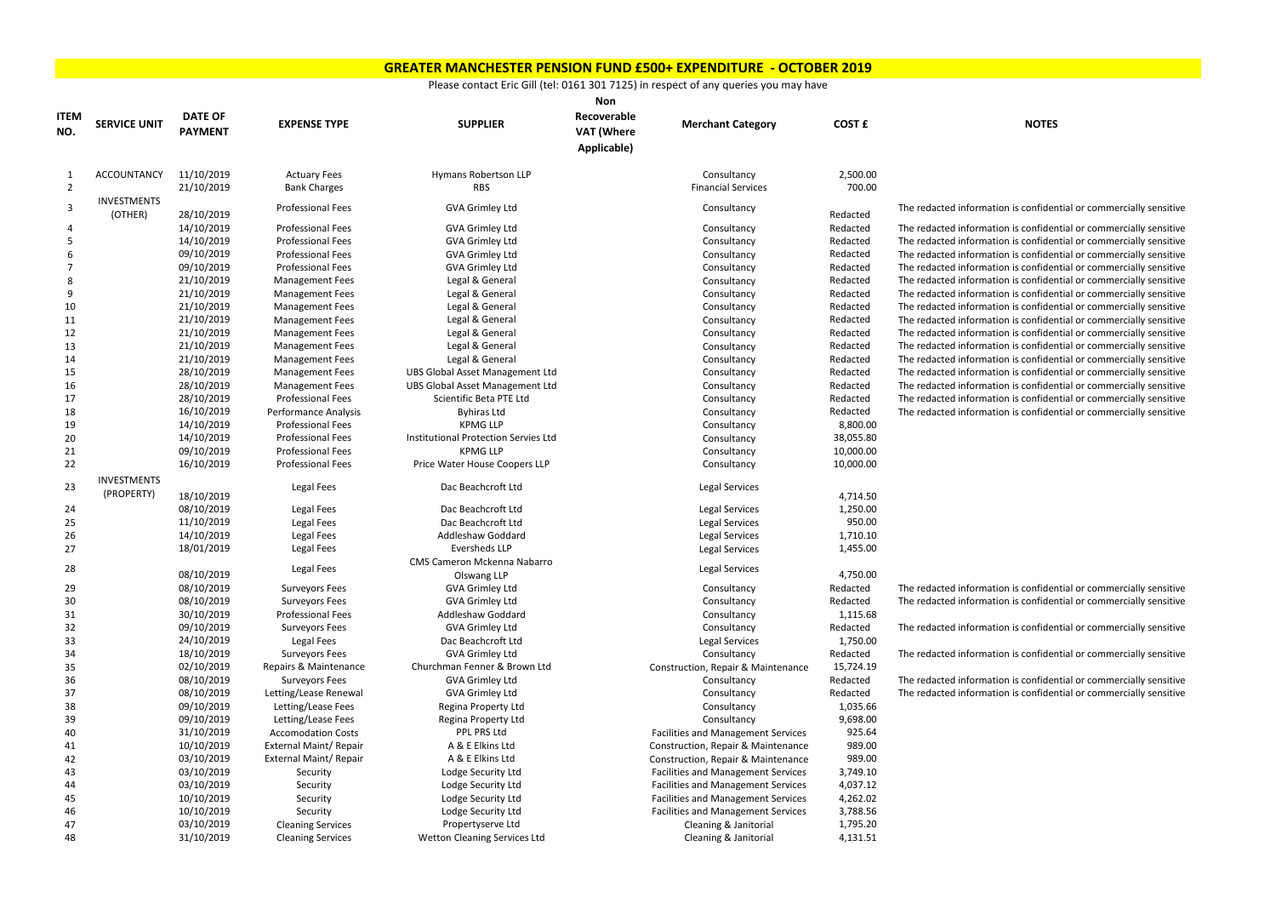|                    |                     |                                  |                             |                                        | <b>Non</b>                                      |                                           |                    |                                      |
|--------------------|---------------------|----------------------------------|-----------------------------|----------------------------------------|-------------------------------------------------|-------------------------------------------|--------------------|--------------------------------------|
| <b>ITEM</b><br>NO. | <b>SERVICE UNIT</b> | <b>DATE OF</b><br><b>PAYMENT</b> | <b>EXPENSE TYPE</b>         | <b>SUPPLIER</b>                        | Recoverable<br><b>VAT (Where</b><br>Applicable) | <b>Merchant Category</b>                  | <b>COST £</b>      | <b>NOTES</b>                         |
| -1                 | ACCOUNTANCY         | 11/10/2019                       | <b>Actuary Fees</b>         | <b>Hymans Robertson LLP</b>            |                                                 | Consultancy                               | 2,500.00<br>700.00 |                                      |
| $\overline{2}$     | <b>INVESTMENTS</b>  | 21/10/2019                       | <b>Bank Charges</b>         | <b>RBS</b>                             |                                                 | <b>Financial Services</b>                 |                    |                                      |
| 3                  | (OTHER)             | 28/10/2019                       | <b>Professional Fees</b>    | <b>GVA Grimley Ltd</b>                 |                                                 | Consultancy                               | Redacted           | The redacted information is confider |
|                    |                     | 14/10/2019                       | <b>Professional Fees</b>    | <b>GVA Grimley Ltd</b>                 |                                                 | Consultancy                               | Redacted           | The redacted information is confider |
| 5                  |                     | 14/10/2019                       | <b>Professional Fees</b>    | <b>GVA Grimley Ltd</b>                 |                                                 | Consultancy                               | Redacted           | The redacted information is confider |
|                    |                     | 09/10/2019                       | <b>Professional Fees</b>    | <b>GVA Grimley Ltd</b>                 |                                                 | Consultancy                               | Redacted           | The redacted information is confider |
|                    |                     | 09/10/2019                       | <b>Professional Fees</b>    | <b>GVA Grimley Ltd</b>                 |                                                 | Consultancy                               | Redacted           | The redacted information is confider |
| 8                  |                     | 21/10/2019                       | <b>Management Fees</b>      | Legal & General                        |                                                 | Consultancy                               | Redacted           | The redacted information is confider |
| 9                  |                     | 21/10/2019                       | <b>Management Fees</b>      | Legal & General                        |                                                 | Consultancy                               | Redacted           | The redacted information is confider |
| 10                 |                     | 21/10/2019                       | <b>Management Fees</b>      | Legal & General                        |                                                 | Consultancy                               | Redacted           | The redacted information is confider |
| 11                 |                     | 21/10/2019                       | <b>Management Fees</b>      | Legal & General                        |                                                 | Consultancy                               | Redacted           | The redacted information is confider |
| 12                 |                     | 21/10/2019                       | <b>Management Fees</b>      | Legal & General                        |                                                 | Consultancy                               | Redacted           | The redacted information is confider |
| 13                 |                     | 21/10/2019                       | <b>Management Fees</b>      | Legal & General                        |                                                 | Consultancy                               | Redacted           | The redacted information is confider |
| 14                 |                     | 21/10/2019                       | <b>Management Fees</b>      | Legal & General                        |                                                 | Consultancy                               | Redacted           | The redacted information is confider |
| 15                 |                     | 28/10/2019                       | <b>Management Fees</b>      | <b>UBS Global Asset Management Ltd</b> |                                                 | Consultancy                               | Redacted           | The redacted information is confider |
| 16                 |                     | 28/10/2019                       | <b>Management Fees</b>      | <b>UBS Global Asset Management Ltd</b> |                                                 | Consultancy                               | Redacted           | The redacted information is confider |
| 17                 |                     | 28/10/2019                       | <b>Professional Fees</b>    | Scientific Beta PTE Ltd                |                                                 | Consultancy                               | Redacted           | The redacted information is confider |
| 18                 |                     | 16/10/2019                       | <b>Performance Analysis</b> | <b>Byhiras Ltd</b>                     |                                                 | Consultancy                               | Redacted           | The redacted information is confider |
| 19                 |                     | 14/10/2019                       | <b>Professional Fees</b>    | <b>KPMG LLP</b>                        |                                                 | Consultancy                               | 8,800.00           |                                      |
| 20                 |                     | 14/10/2019                       | <b>Professional Fees</b>    | Institutional Protection Servies Ltd   |                                                 | Consultancy                               | 38,055.80          |                                      |
| 21                 |                     | 09/10/2019                       | <b>Professional Fees</b>    | <b>KPMG LLP</b>                        |                                                 | Consultancy                               | 10,000.00          |                                      |
| 22                 |                     | 16/10/2019                       | <b>Professional Fees</b>    | Price Water House Coopers LLP          |                                                 | Consultancy                               | 10,000.00          |                                      |
|                    | <b>INVESTMENTS</b>  |                                  |                             |                                        |                                                 |                                           |                    |                                      |
| 23                 | (PROPERTY)          | 18/10/2019                       | <b>Legal Fees</b>           | Dac Beachcroft Ltd                     |                                                 | <b>Legal Services</b>                     | 4,714.50           |                                      |
| 24                 |                     | 08/10/2019                       | Legal Fees                  | Dac Beachcroft Ltd                     |                                                 | <b>Legal Services</b>                     | 1,250.00           |                                      |
| 25                 |                     | 11/10/2019                       | <b>Legal Fees</b>           | Dac Beachcroft Ltd                     |                                                 | Legal Services                            | 950.00             |                                      |
| 26                 |                     | 14/10/2019                       | <b>Legal Fees</b>           | <b>Addleshaw Goddard</b>               |                                                 | Legal Services                            | 1,710.10           |                                      |
| 27                 |                     | 18/01/2019                       | <b>Legal Fees</b>           | <b>Eversheds LLP</b>                   |                                                 | Legal Services                            | 1,455.00           |                                      |
|                    |                     |                                  |                             | CMS Cameron Mckenna Nabarro            |                                                 |                                           |                    |                                      |
| 28                 |                     | 08/10/2019                       | <b>Legal Fees</b>           | Olswang LLP                            |                                                 | Legal Services                            | 4,750.00           |                                      |
| 29                 |                     | 08/10/2019                       | <b>Surveyors Fees</b>       | <b>GVA Grimley Ltd</b>                 |                                                 | Consultancy                               | Redacted           | The redacted information is confider |
| 30                 |                     | 08/10/2019                       | <b>Surveyors Fees</b>       | <b>GVA Grimley Ltd</b>                 |                                                 | Consultancy                               | Redacted           | The redacted information is confider |
| 31                 |                     | 30/10/2019                       | <b>Professional Fees</b>    | Addleshaw Goddard                      |                                                 | Consultancy                               | 1,115.68           |                                      |
| 32                 |                     | 09/10/2019                       | <b>Surveyors Fees</b>       | <b>GVA Grimley Ltd</b>                 |                                                 | Consultancy                               | Redacted           | The redacted information is confider |
| 33                 |                     | 24/10/2019                       | Legal Fees                  | Dac Beachcroft Ltd                     |                                                 | Legal Services                            | 1,750.00           |                                      |
| 34                 |                     | 18/10/2019                       | <b>Surveyors Fees</b>       | <b>GVA Grimley Ltd</b>                 |                                                 | Consultancy                               | Redacted           | The redacted information is confider |
| 35                 |                     | 02/10/2019                       | Repairs & Maintenance       | Churchman Fenner & Brown Ltd           |                                                 | Construction, Repair & Maintenance        | 15,724.19          |                                      |
| 36                 |                     | 08/10/2019                       | <b>Surveyors Fees</b>       | <b>GVA Grimley Ltd</b>                 |                                                 | Consultancy                               | Redacted           | The redacted information is confider |
| 37                 |                     | 08/10/2019                       | Letting/Lease Renewal       | GVA Grimley Ltd                        |                                                 | Consultancy                               | Redacted           | The redacted information is confider |
| 38                 |                     | 09/10/2019                       | Letting/Lease Fees          | Regina Property Ltd                    |                                                 | Consultancy                               | 1,035.66           |                                      |
| 39                 |                     | 09/10/2019                       | Letting/Lease Fees          | Regina Property Ltd                    |                                                 | Consultancy                               | 9,698.00           |                                      |
| 40                 |                     | 31/10/2019                       | <b>Accomodation Costs</b>   | PPL PRS Ltd                            |                                                 | <b>Facilities and Management Services</b> | 925.64             |                                      |
| 41                 |                     | 10/10/2019                       | External Maint/ Repair      | A & E Elkins Ltd                       |                                                 | Construction, Repair & Maintenance        | 989.00             |                                      |
| 42                 |                     | 03/10/2019                       | External Maint/ Repair      | A & E Elkins Ltd                       |                                                 | Construction, Repair & Maintenance        | 989.00             |                                      |
| 43                 |                     | 03/10/2019                       | Security                    | Lodge Security Ltd                     |                                                 | <b>Facilities and Management Services</b> | 3,749.10           |                                      |
| 44                 |                     | 03/10/2019                       | Security                    | Lodge Security Ltd                     |                                                 | <b>Facilities and Management Services</b> | 4,037.12           |                                      |
| 45                 |                     | 10/10/2019                       | Security                    | Lodge Security Ltd                     |                                                 | <b>Facilities and Management Services</b> | 4,262.02           |                                      |
| 46                 |                     | 10/10/2019                       | Security                    | Lodge Security Ltd                     |                                                 | <b>Facilities and Management Services</b> | 3,788.56           |                                      |
| 47                 |                     | 03/10/2019                       | <b>Cleaning Services</b>    | Propertyserve Ltd                      |                                                 | Cleaning & Janitorial                     | 1,795.20           |                                      |
| 48                 |                     | 31/10/2019                       | <b>Cleaning Services</b>    | Wetton Cleaning Services Ltd           |                                                 | Cleaning & Janitorial                     | 4,131.51           |                                      |

information is confidential or commercially sensitive

information is confidential or commercially sensitive information is confidential or commercially sensitive information is confidential or commercially sensitive information is confidential or commercially sensitive information is confidential or commercially sensitive information is confidential or commercially sensitive information is confidential or commercially sensitive information is confidential or commercially sensitive information is confidential or commercially sensitive information is confidential or commercially sensitive Information is confidential or commercially sensitive Information is confidential or commercially sensitive information is confidential or commercially sensitive information is confidential or commercially sensitive information is confidential or commercially sensitive

information is confidential or commercially sensitive nformation is confidential or commercially sensitive

nformation is confidential or commercially sensitive

nformation is confidential or commercially sensitive

information is confidential or commercially sensitive information is confidential or commercially sensitive

## **GREATER MANCHESTER PENSION FUND £500+ EXPENDITURE - OCTOBER 2019**

## Please contact Eric Gill (tel: 0161 301 7125) in respect of any queries you may have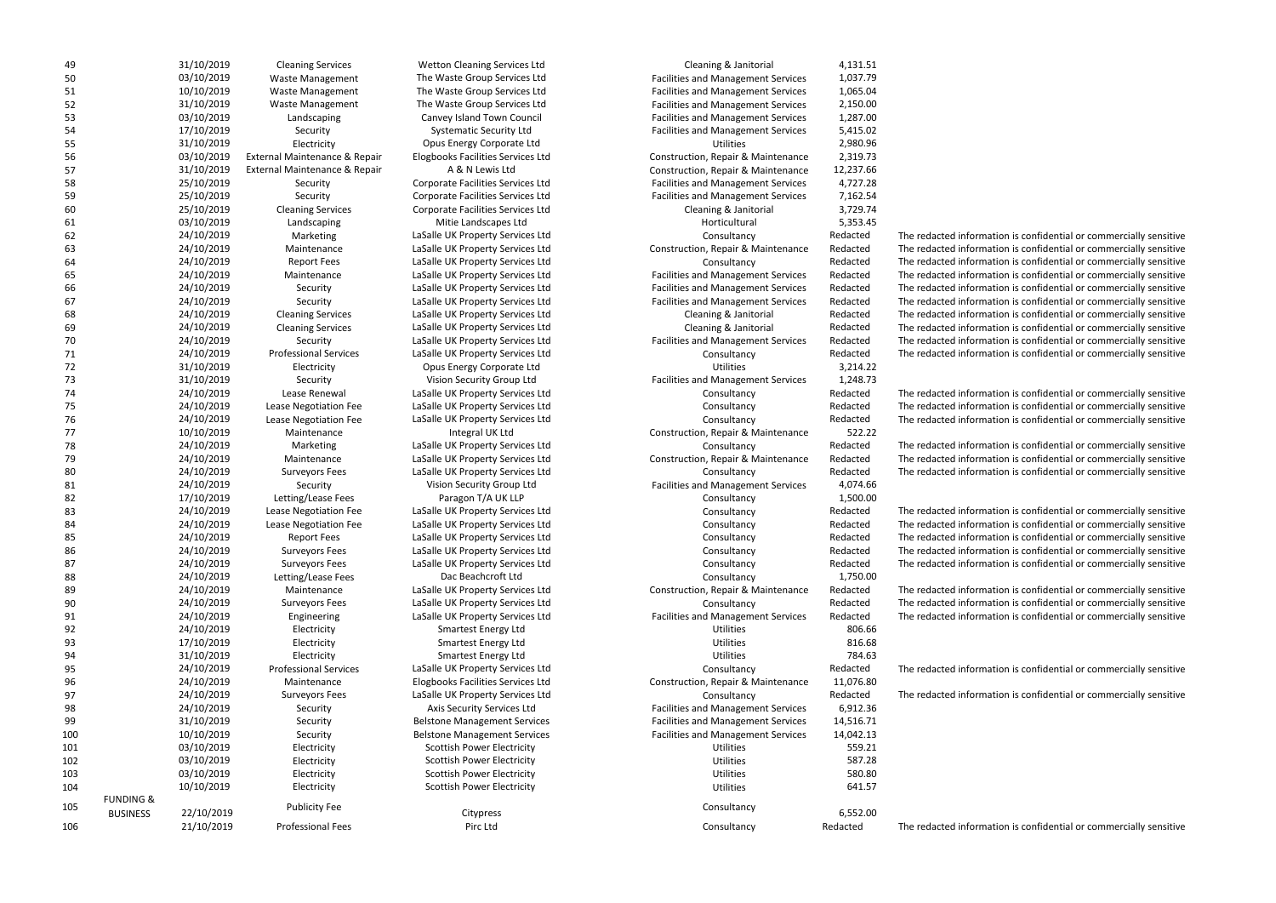LaSalle UK Property Services Ltd **Consultancy** Consultancy Redacted The redacted information is confidential or commercially sensitive LaSalle UK Property Services Ltd **Construction, Repair & Maintenance** Redacted The redacted information is confidential or commercially sensitive LaSalle UK Property Services Ltd **Consultancy** Consultancy **Redacted** The redacted information is confidential or commercially sensitive LaSalle UK Property Services Ltd **Facilities and Management Services** Redacted The redacted information is confidential or commercially sensitive LaSalle UK Property Services Ltd **Facilities and Management Services** Redacted The redacted information is confidential or commercially sensitive LaSalle UK Property Services Ltd **Facilities and Management Services** Redacted The redacted information is confidential or commercially sensitive LaSalle UK Property Services Ltd **Cleaning & Janitorial Cleaning & Janitorial Redacted** The redacted information is confidential or commercially sensitive LaSalle UK Property Services Ltd **Cleaning & Janitorial Cleaning & Janitorial Redacted** The redacted information is confidential or commercially sensitive LaSalle UK Property Services Ltd **Facilities and Management Services** Redacted The redacted information is confidential or commercially sensitive 71 24/10/2019 Professional Services LaSalle UK Property Services Ltd Consultancy Redacted The redacted information is confidential or commercially sensitive

| 49  |                      | 31/10/2019 | <b>Cleaning Services</b>      | Wetton Cleaning Services Ltd        | Cleaning & Janitorial                     | 4,131.51  |
|-----|----------------------|------------|-------------------------------|-------------------------------------|-------------------------------------------|-----------|
| 50  |                      | 03/10/2019 | Waste Management              | The Waste Group Services Ltd        | <b>Facilities and Management Services</b> | 1,037.79  |
| 51  |                      | 10/10/2019 | Waste Management              | The Waste Group Services Ltd        | <b>Facilities and Management Services</b> | 1,065.04  |
| 52  |                      | 31/10/2019 | Waste Management              | The Waste Group Services Ltd        | Facilities and Management Services        | 2,150.00  |
| 53  |                      | 03/10/2019 | Landscaping                   | Canvey Island Town Council          | <b>Facilities and Management Services</b> | 1,287.00  |
| 54  |                      | 17/10/2019 | Security                      | <b>Systematic Security Ltd</b>      | <b>Facilities and Management Services</b> | 5,415.02  |
| 55  |                      | 31/10/2019 | Electricity                   | Opus Energy Corporate Ltd           | Utilities                                 | 2,980.96  |
| 56  |                      | 03/10/2019 | External Maintenance & Repair | Elogbooks Facilities Services Ltd   | Construction, Repair & Maintenance        | 2,319.73  |
| 57  |                      | 31/10/2019 | External Maintenance & Repair | A & N Lewis Ltd                     | Construction, Repair & Maintenance        | 12,237.66 |
| 58  |                      | 25/10/2019 |                               | Corporate Facilities Services Ltd   | Facilities and Management Services        | 4,727.28  |
|     |                      |            | Security                      |                                     |                                           |           |
| 59  |                      | 25/10/2019 | Security                      | Corporate Facilities Services Ltd   | <b>Facilities and Management Services</b> | 7,162.54  |
| 60  |                      | 25/10/2019 | <b>Cleaning Services</b>      | Corporate Facilities Services Ltd   | Cleaning & Janitorial                     | 3,729.74  |
| 61  |                      | 03/10/2019 | Landscaping                   | Mitie Landscapes Ltd                | Horticultural                             | 5,353.45  |
| 62  |                      | 24/10/2019 | Marketing                     | LaSalle UK Property Services Ltd    | Consultancy                               | Redacted  |
| 63  |                      | 24/10/2019 | Maintenance                   | LaSalle UK Property Services Ltd    | Construction, Repair & Maintenance        | Redacted  |
| 64  |                      | 24/10/2019 | <b>Report Fees</b>            | LaSalle UK Property Services Ltd    | Consultancy                               | Redacted  |
| 65  |                      | 24/10/2019 | Maintenance                   | LaSalle UK Property Services Ltd    | <b>Facilities and Management Services</b> | Redacted  |
| 66  |                      | 24/10/2019 | Security                      | LaSalle UK Property Services Ltd    | <b>Facilities and Management Services</b> | Redacted  |
| 67  |                      | 24/10/2019 | Security                      | LaSalle UK Property Services Ltd    | <b>Facilities and Management Services</b> | Redacted  |
| 68  |                      | 24/10/2019 | <b>Cleaning Services</b>      | LaSalle UK Property Services Ltd    | Cleaning & Janitorial                     | Redacted  |
| 69  |                      | 24/10/2019 | <b>Cleaning Services</b>      | LaSalle UK Property Services Ltd    | Cleaning & Janitorial                     | Redacted  |
| 70  |                      | 24/10/2019 | Security                      | LaSalle UK Property Services Ltd    | <b>Facilities and Management Services</b> | Redacted  |
| 71  |                      | 24/10/2019 | <b>Professional Services</b>  | LaSalle UK Property Services Ltd    | Consultancy                               | Redacted  |
| 72  |                      | 31/10/2019 | Electricity                   | Opus Energy Corporate Ltd           | <b>Utilities</b>                          | 3,214.22  |
| 73  |                      | 31/10/2019 | Security                      | Vision Security Group Ltd           | <b>Facilities and Management Services</b> | 1,248.73  |
| 74  |                      | 24/10/2019 | Lease Renewal                 | LaSalle UK Property Services Ltd    | Consultancy                               | Redacted  |
| 75  |                      | 24/10/2019 | Lease Negotiation Fee         | LaSalle UK Property Services Ltd    | Consultancy                               | Redacted  |
| 76  |                      | 24/10/2019 | Lease Negotiation Fee         | LaSalle UK Property Services Ltd    | Consultancy                               | Redacted  |
| 77  |                      | 10/10/2019 | Maintenance                   | Integral UK Ltd                     | Construction, Repair & Maintenance        | 522.22    |
|     |                      | 24/10/2019 |                               |                                     |                                           |           |
| 78  |                      |            | Marketing                     | LaSalle UK Property Services Ltd    | Consultancy                               | Redacted  |
| 79  |                      | 24/10/2019 | Maintenance                   | LaSalle UK Property Services Ltd    | Construction, Repair & Maintenance        | Redacted  |
| 80  |                      | 24/10/2019 | <b>Surveyors Fees</b>         | LaSalle UK Property Services Ltd    | Consultancy                               | Redacted  |
| 81  |                      | 24/10/2019 | Security                      | Vision Security Group Ltd           | Facilities and Management Services        | 4,074.66  |
| 82  |                      | 17/10/2019 | Letting/Lease Fees            | Paragon T/A UK LLP                  | Consultancy                               | 1,500.00  |
| 83  |                      | 24/10/2019 | Lease Negotiation Fee         | LaSalle UK Property Services Ltd    | Consultancy                               | Redacted  |
| 84  |                      | 24/10/2019 | Lease Negotiation Fee         | LaSalle UK Property Services Ltd    | Consultancy                               | Redacted  |
| 85  |                      | 24/10/2019 | <b>Report Fees</b>            | LaSalle UK Property Services Ltd    | Consultancy                               | Redacted  |
| 86  |                      | 24/10/2019 | <b>Surveyors Fees</b>         | LaSalle UK Property Services Ltd    | Consultancy                               | Redacted  |
| 87  |                      | 24/10/2019 | <b>Surveyors Fees</b>         | LaSalle UK Property Services Ltd    | Consultancy                               | Redacted  |
| 88  |                      | 24/10/2019 | Letting/Lease Fees            | Dac Beachcroft Ltd                  | Consultancy                               | 1,750.00  |
| 89  |                      | 24/10/2019 | Maintenance                   | LaSalle UK Property Services Ltd    | Construction, Repair & Maintenance        | Redacted  |
| 90  |                      | 24/10/2019 | <b>Surveyors Fees</b>         | LaSalle UK Property Services Ltd    | Consultancy                               | Redacted  |
| 91  |                      | 24/10/2019 | Engineering                   | LaSalle UK Property Services Ltd    | <b>Facilities and Management Services</b> | Redacted  |
| 92  |                      | 24/10/2019 | Electricity                   | <b>Smartest Energy Ltd</b>          | Utilities                                 | 806.66    |
| 93  |                      | 17/10/2019 | Electricity                   | <b>Smartest Energy Ltd</b>          | Utilities                                 | 816.68    |
| 94  |                      | 31/10/2019 | Electricity                   | <b>Smartest Energy Ltd</b>          | <b>Utilities</b>                          | 784.63    |
| 95  |                      | 24/10/2019 | <b>Professional Services</b>  | LaSalle UK Property Services Ltd    | Consultancy                               | Redacted  |
| 96  |                      | 24/10/2019 | Maintenance                   | Elogbooks Facilities Services Ltd   | Construction, Repair & Maintenance        | 11,076.80 |
| 97  |                      | 24/10/2019 | <b>Surveyors Fees</b>         | LaSalle UK Property Services Ltd    | Consultancy                               | Redacted  |
|     |                      | 24/10/2019 |                               |                                     |                                           |           |
| 98  |                      |            | Security                      | Axis Security Services Ltd          | <b>Facilities and Management Services</b> | 6,912.36  |
| 99  |                      | 31/10/2019 | Security                      | <b>Belstone Management Services</b> | <b>Facilities and Management Services</b> | 14,516.71 |
| 100 |                      | 10/10/2019 | Security                      | <b>Belstone Management Services</b> | <b>Facilities and Management Services</b> | 14,042.13 |
| 101 |                      | 03/10/2019 | Electricity                   | <b>Scottish Power Electricity</b>   | Utilities                                 | 559.21    |
| 102 |                      | 03/10/2019 | Electricity                   | <b>Scottish Power Electricity</b>   | Utilities                                 | 587.28    |
| 103 |                      | 03/10/2019 | Electricity                   | <b>Scottish Power Electricity</b>   | Utilities                                 | 580.80    |
| 104 |                      | 10/10/2019 | Electricity                   | <b>Scottish Power Electricity</b>   | Utilities                                 | 641.57    |
| 105 | <b>FUNDING &amp;</b> |            | <b>Publicity Fee</b>          |                                     | Consultancy                               |           |
|     | <b>BUSINESS</b>      | 22/10/2019 |                               | Citypress                           |                                           | 6,552.00  |
| 106 |                      | 21/10/2019 | <b>Professional Fees</b>      | Pirc Ltd                            | Consultancy                               | Redacted  |
|     |                      |            |                               |                                     |                                           |           |

and the Unity of Cleaning Services and Services Wetton Cleaning Services Ltd Cleaning & Janitorial 2,131.51 50 03/10/2019 Waste Management The Waste Group Services Ltd Facilities and Management Services 1,037.79 51 10/10/2019 Waste Management The Waste Group Services Ltd Facilities and Management Services 1,065.04 52 31/10/2019 Waste Management The Waste Group Services Ltd Facilities and Management Services 2,150.00 53 03/10/2019 Landscaping Canvey Island Town Council Facilities and Management Services 1,287.00 Systematic Security Ltd Facilities and Management Services 5,415.02 Opus Energy Corporate Ltd **Electricity Corporate Ltd** Utilities 2,980.96 56 03/10/2019 External Maintenance & Repair Elogbooks Facilities Services Ltd Construction, Repair & Maintenance 2,319.73 57 31/10/2019 External Maintenance & Repair A & N Lewis Ltd Construction, Repair & Maintenance 12,237.66 58 25/10/2019 Security Corporate Facilities Services Ltd Facilities and Management Services 4,727.28 59 25/10/2019 Security Corporate Facilities Services Ltd Facilities and Management Services 7,162.54 60 25/10/2019 Cleaning Services Corporate Facilities Services Ltd Cleaning & Janitorial 3,729.74 The Superson opus Energy Corporate Ltd **The Contraction Contract Contract Contract Contract Contract Contract Contract Contract Contract Contract Contract Contract Contract Contract Contract Contract Contract Contract Cont** 73 31/10/2019 Security Vision Security Group Ltd Facilities and Management Services 1,248.73 74 24/10/2019 Lease Renewal LaSalle UK Property Services Ltd Consultancy Redacted The redacted information is confidential or commercially sensitive 75 24/10/2019 Lease Negotiation Fee LaSalle UK Property Services Ltd Consultancy Redacted The redacted information is confidential or commercially sensitive 76 24/10/2019 Lease Negotiation Fee LaSalle UK Property Services Ltd Consultancy Redacted The redacted information is confidential or commercially sensitive 77 10/10/2019 Maintenance Integral UK Ltd Construction, Repair & Maintenance 522.22 78 24/10/2019 Marketing LaSalle UK Property Services Ltd Consultancy Redacted The redacted information is confidential or commercially sensitive LaSalle UK Property Services Ltd **Construction, Repair & Maintenance** Redacted The redacted information is confidential or commercially sensitive LaSalle UK Property Services Ltd **Consultancy** Consultancy Redacted The redacted information is confidential or commercially sensitive Vision Security Group Ltd Facilities and Management Services 4,074.66 LaSalle UK Property Services Ltd **Consultancy** Consultancy Redacted The redacted information is confidential or commercially sensitive LaSalle UK Property Services Ltd **Consultancy** Consultancy Redacted The redacted information is confidential or commercially sensitive LaSalle UK Property Services Ltd **Consultancy** Consultancy **Redacted** The redacted information is confidential or commercially sensitive LaSalle UK Property Services Ltd **Consultancy** Consultancy Redacted The redacted information is confidential or commercially sensitive LaSalle UK Property Services Ltd **Consultancy** Consultancy Redacted The redacted information is confidential or commercially sensitive LaSalle UK Property Services Ltd **Construction, Repair & Maintenance** Redacted The redacted information is confidential or commercially sensitive 90 24/10/2019 Surveyors Fees LaSalle UK Property Services Ltd Consultancy Redacted The redacted information is confidential or commercially sensitive LaSalle UK Property Services Ltd **Facilities and Management Services** Redacted The redacted information is confidential or commercially sensitive 95 24/10/2019 Professional Services LaSalle UK Property Services Ltd Consultancy Redacted The redacted information is confidential or commercially sensitive Elogbooks Facilities Services Ltd **Construction, Repair & Maintenance** 11,076.80 97 24/10/2019 Surveyors Fees LaSalle UK Property Services Ltd Consultancy Redacted The redacted information is confidential or commercially sensitive Axis Security Services Ltd Facilities and Management Services 6,912.36 Belstone Management Services Facilities and Management Services 14,516.71 100 10/10/2019 Security Belstone Management Services Facilities and Management Services 14,042.13 **101 Scottish Power Electricity Community Community Community Community Community Community Community Community** 102 102 102 102 102 102 103/2019 Electricity S87.28 Utilities 587.28 103 03/10/2019 Electricity Scottish Power Electricity Utilities 580.80 104 10/10/2019 Electricity Scottish Power Electricity Utilities 641.57 Pirc Ltd **Examples Pirc Ltd** Consultancy Consultancy Redacted The redacted information is confidential or commercially sensitive